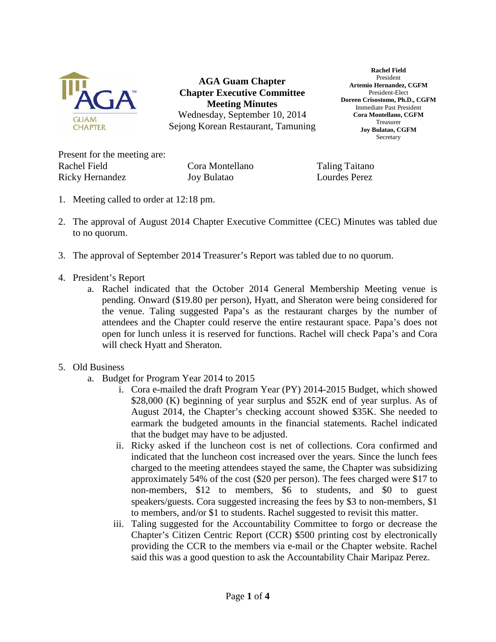

**AGA Guam Chapter Chapter Executive Committee Meeting Minutes** Wednesday, September 10, 2014 Sejong Korean Restaurant, Tamuning

**Rachel Field** President **Artemio Hernandez, CGFM** President-Elect **Doreen Crisostomo, Ph.D., CGFM** Immediate Past President **Cora Montellano, CGFM** Treasurer **Joy Bulatao, CGFM Secretary** 

Present for the meeting are: Rachel Field **Cora Montellano** Taling Taitano Ricky Hernandez Joy Bulatao Lourdes Perez

- 1. Meeting called to order at 12:18 pm.
- 2. The approval of August 2014 Chapter Executive Committee (CEC) Minutes was tabled due to no quorum.
- 3. The approval of September 2014 Treasurer's Report was tabled due to no quorum.
- 4. President's Report
	- a. Rachel indicated that the October 2014 General Membership Meeting venue is pending. Onward (\$19.80 per person), Hyatt, and Sheraton were being considered for the venue. Taling suggested Papa's as the restaurant charges by the number of attendees and the Chapter could reserve the entire restaurant space. Papa's does not open for lunch unless it is reserved for functions. Rachel will check Papa's and Cora will check Hyatt and Sheraton.
- 5. Old Business
	- a. Budget for Program Year 2014 to 2015
		- i. Cora e-mailed the draft Program Year (PY) 2014-2015 Budget, which showed \$28,000 (K) beginning of year surplus and \$52K end of year surplus. As of August 2014, the Chapter's checking account showed \$35K. She needed to earmark the budgeted amounts in the financial statements. Rachel indicated that the budget may have to be adjusted.
		- ii. Ricky asked if the luncheon cost is net of collections. Cora confirmed and indicated that the luncheon cost increased over the years. Since the lunch fees charged to the meeting attendees stayed the same, the Chapter was subsidizing approximately 54% of the cost (\$20 per person). The fees charged were \$17 to non-members, \$12 to members, \$6 to students, and \$0 to guest speakers/guests. Cora suggested increasing the fees by \$3 to non-members, \$1 to members, and/or \$1 to students. Rachel suggested to revisit this matter.
		- iii. Taling suggested for the Accountability Committee to forgo or decrease the Chapter's Citizen Centric Report (CCR) \$500 printing cost by electronically providing the CCR to the members via e-mail or the Chapter website. Rachel said this was a good question to ask the Accountability Chair Maripaz Perez.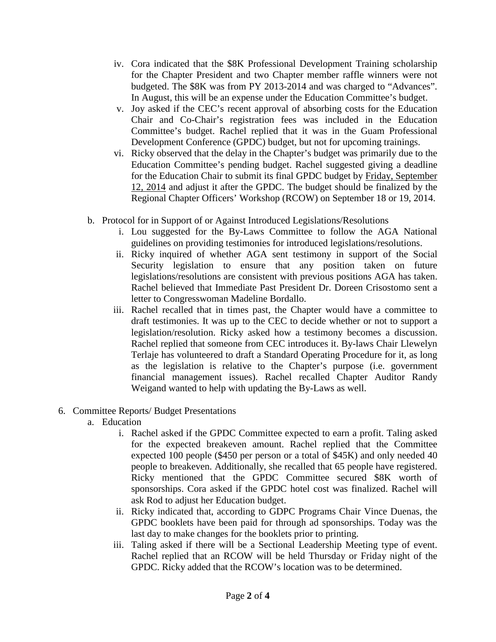- iv. Cora indicated that the \$8K Professional Development Training scholarship for the Chapter President and two Chapter member raffle winners were not budgeted. The \$8K was from PY 2013-2014 and was charged to "Advances". In August, this will be an expense under the Education Committee's budget.
- v. Joy asked if the CEC's recent approval of absorbing costs for the Education Chair and Co-Chair's registration fees was included in the Education Committee's budget. Rachel replied that it was in the Guam Professional Development Conference (GPDC) budget, but not for upcoming trainings.
- vi. Ricky observed that the delay in the Chapter's budget was primarily due to the Education Committee's pending budget. Rachel suggested giving a deadline for the Education Chair to submit its final GPDC budget by Friday, September 12, 2014 and adjust it after the GPDC. The budget should be finalized by the Regional Chapter Officers' Workshop (RCOW) on September 18 or 19, 2014.
- b. Protocol for in Support of or Against Introduced Legislations/Resolutions
	- i. Lou suggested for the By-Laws Committee to follow the AGA National guidelines on providing testimonies for introduced legislations/resolutions.
	- ii. Ricky inquired of whether AGA sent testimony in support of the Social Security legislation to ensure that any position taken on future legislations/resolutions are consistent with previous positions AGA has taken. Rachel believed that Immediate Past President Dr. Doreen Crisostomo sent a letter to Congresswoman Madeline Bordallo.
	- iii. Rachel recalled that in times past, the Chapter would have a committee to draft testimonies. It was up to the CEC to decide whether or not to support a legislation/resolution. Ricky asked how a testimony becomes a discussion. Rachel replied that someone from CEC introduces it. By-laws Chair Llewelyn Terlaje has volunteered to draft a Standard Operating Procedure for it, as long as the legislation is relative to the Chapter's purpose (i.e. government financial management issues). Rachel recalled Chapter Auditor Randy Weigand wanted to help with updating the By-Laws as well.
- 6. Committee Reports/ Budget Presentations
	- a. Education
		- i. Rachel asked if the GPDC Committee expected to earn a profit. Taling asked for the expected breakeven amount. Rachel replied that the Committee expected 100 people (\$450 per person or a total of \$45K) and only needed 40 people to breakeven. Additionally, she recalled that 65 people have registered. Ricky mentioned that the GPDC Committee secured \$8K worth of sponsorships. Cora asked if the GPDC hotel cost was finalized. Rachel will ask Rod to adjust her Education budget.
		- ii. Ricky indicated that, according to GDPC Programs Chair Vince Duenas, the GPDC booklets have been paid for through ad sponsorships. Today was the last day to make changes for the booklets prior to printing.
		- iii. Taling asked if there will be a Sectional Leadership Meeting type of event. Rachel replied that an RCOW will be held Thursday or Friday night of the GPDC. Ricky added that the RCOW's location was to be determined.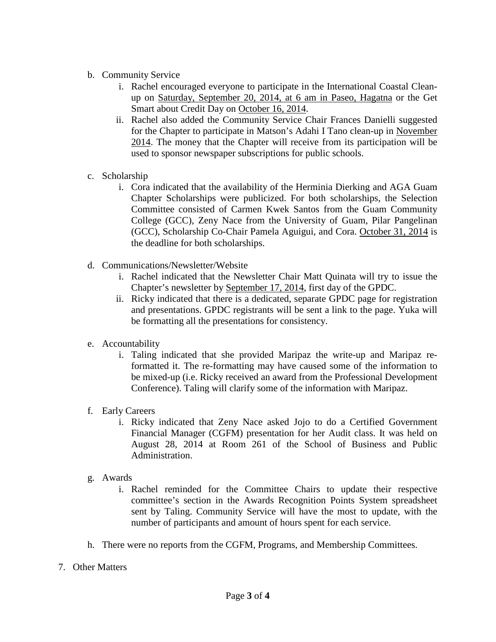- b. Community Service
	- i. Rachel encouraged everyone to participate in the International Coastal Cleanup on Saturday, September 20, 2014, at 6 am in Paseo, Hagatna or the Get Smart about Credit Day on October 16, 2014.
	- ii. Rachel also added the Community Service Chair Frances Danielli suggested for the Chapter to participate in Matson's Adahi I Tano clean-up in November 2014. The money that the Chapter will receive from its participation will be used to sponsor newspaper subscriptions for public schools.
- c. Scholarship
	- i. Cora indicated that the availability of the Herminia Dierking and AGA Guam Chapter Scholarships were publicized. For both scholarships, the Selection Committee consisted of Carmen Kwek Santos from the Guam Community College (GCC), Zeny Nace from the University of Guam, Pilar Pangelinan (GCC), Scholarship Co-Chair Pamela Aguigui, and Cora. October 31, 2014 is the deadline for both scholarships.
- d. Communications/Newsletter/Website
	- i. Rachel indicated that the Newsletter Chair Matt Quinata will try to issue the Chapter's newsletter by September 17, 2014, first day of the GPDC.
	- ii. Ricky indicated that there is a dedicated, separate GPDC page for registration and presentations. GPDC registrants will be sent a link to the page. Yuka will be formatting all the presentations for consistency.
- e. Accountability
	- i. Taling indicated that she provided Maripaz the write-up and Maripaz reformatted it. The re-formatting may have caused some of the information to be mixed-up (i.e. Ricky received an award from the Professional Development Conference). Taling will clarify some of the information with Maripaz.
- f. Early Careers
	- i. Ricky indicated that Zeny Nace asked Jojo to do a Certified Government Financial Manager (CGFM) presentation for her Audit class. It was held on August 28, 2014 at Room 261 of the School of Business and Public Administration.
- g. Awards
	- i. Rachel reminded for the Committee Chairs to update their respective committee's section in the Awards Recognition Points System spreadsheet sent by Taling. Community Service will have the most to update, with the number of participants and amount of hours spent for each service.
- h. There were no reports from the CGFM, Programs, and Membership Committees.
- 7. Other Matters